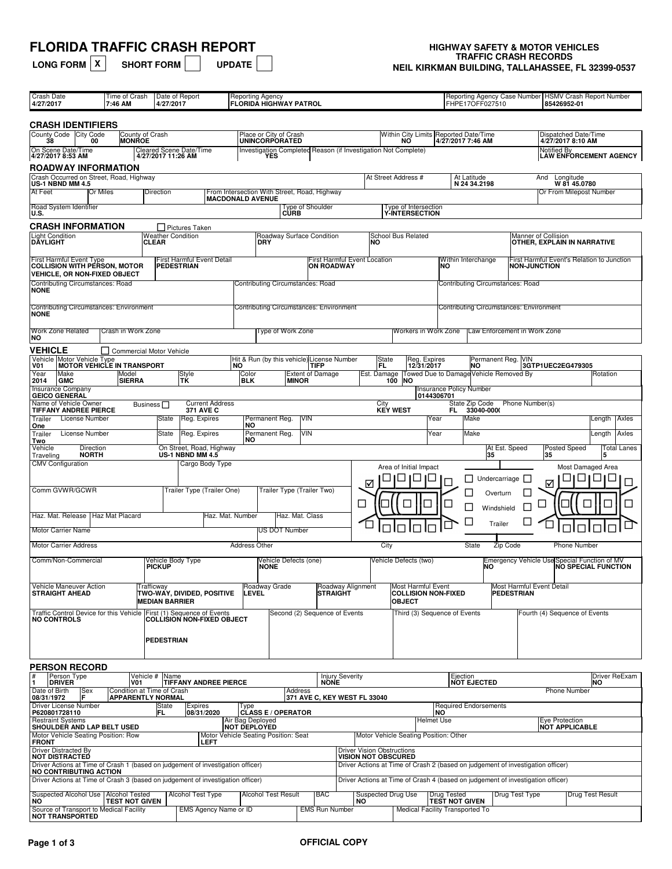# **FLORIDA TRAFFIC CRASH REPORT**<br>LONG FORM  $\boxed{x}$  SHORT FORM  $\boxed{\phantom{000}0}$  update

| <b>LONG FORM</b> $\mathsf{X}$ |  |
|-------------------------------|--|
|                               |  |

## **HIGHWAY SAFETY & MOTOR VEHICLES<br>TRAFFIC CRASH RECORDS LONG TRAFFIC CHASH RECORDS**<br>NEIL KIRKMAN BUILDING, TALLAHASSEE, FL 32399-0537

| Crash Date<br>4/27/2017                                                                                       | Time of Crash<br>7:46 AM                               | 4/27/2017                           | Date of Report                                  | <b>Reporting Agency</b><br><b>FLORIDA HIGHWAY PATROL</b>                |                                                 |                                 |                                                                 |                            |                                                                   |                                                                                 | FHPE17OFF027510                  |                                                | Reporting Agency Case Number   HSMV Crash Report Number<br>85426952-01 |                            |
|---------------------------------------------------------------------------------------------------------------|--------------------------------------------------------|-------------------------------------|-------------------------------------------------|-------------------------------------------------------------------------|-------------------------------------------------|---------------------------------|-----------------------------------------------------------------|----------------------------|-------------------------------------------------------------------|---------------------------------------------------------------------------------|----------------------------------|------------------------------------------------|------------------------------------------------------------------------|----------------------------|
| <b>CRASH IDENTIFIERS</b>                                                                                      |                                                        |                                     |                                                 |                                                                         |                                                 |                                 |                                                                 |                            |                                                                   |                                                                                 |                                  |                                                |                                                                        |                            |
| County Code City Code<br>38<br>00                                                                             | County of Crash<br><b>IMONROE</b>                      |                                     |                                                 |                                                                         | Place or City of Crash<br><b>UNINCORPORATED</b> |                                 |                                                                 |                            | <b>NO</b>                                                         | Within City Limits Reported Date/Time<br>4/27/2017 7:46 AM                      |                                  |                                                | Dispatched Date/Time<br>4/27/2017 8:10 AM                              |                            |
| On Scene Date/Time<br>4/27/2017 8:53 AM                                                                       |                                                        | 4/27/2017 11:26 AM                  | <b>Cleared Scene Date/Time</b>                  |                                                                         |                                                 |                                 |                                                                 |                            | Investigation Completed Reason (if Investigation Not Complete)    |                                                                                 |                                  |                                                | Notified By                                                            | LÁW ENFORCEMENT AGENCY     |
| ROADWAY INFORMATION                                                                                           |                                                        |                                     |                                                 |                                                                         |                                                 |                                 |                                                                 |                            |                                                                   |                                                                                 |                                  |                                                |                                                                        |                            |
| Crash Occurred on Street, Road, Highway<br>US-1 NBND MM 4.5                                                   |                                                        |                                     |                                                 |                                                                         |                                                 |                                 |                                                                 |                            | At Street Address #                                               | At Latitude                                                                     | N 24 34.2198                     |                                                | And<br>Longitude<br>W 81 45.0780                                       |                            |
| At Feet<br>Or Miles                                                                                           |                                                        | Direction                           |                                                 | From Intersection With Street, Road, Highway<br><b>MACDONALD AVENUE</b> |                                                 |                                 |                                                                 |                            |                                                                   |                                                                                 |                                  |                                                | Or From Milepost Number                                                |                            |
| Road System Identifier<br>IU.S.                                                                               |                                                        |                                     |                                                 |                                                                         | <b>CURB</b>                                     | Type of Shoulder                |                                                                 |                            | Type of Intersection<br><b>Y-INTERSECTION</b>                     |                                                                                 |                                  |                                                |                                                                        |                            |
| <b>CRASH INFORMATION</b>                                                                                      |                                                        |                                     | Pictures Taken                                  |                                                                         |                                                 |                                 |                                                                 |                            |                                                                   |                                                                                 |                                  |                                                |                                                                        |                            |
| <b>Light Condition</b><br><b>DÄYLIGHT</b>                                                                     |                                                        | <b>Weather Condition</b><br>CLEAR   |                                                 | DRY                                                                     | Roadway Surface Condition                       |                                 |                                                                 | NΟ                         | <b>School Bus Related</b>                                         |                                                                                 |                                  | Manner of Collision                            | OTHER. EXPLAIN IN NARRATIVE                                            |                            |
| <b>First Harmful Event Type</b><br><b>COLLISION WITH PÉRSON, MOTOR</b><br><b>VEHICLE, OR NON-FIXED OBJECT</b> |                                                        |                                     | <b>First Harmful Event Detail</b><br>PEDESTRIAN |                                                                         |                                                 | <b>ON ROADWAY</b>               | First Harmful Event Location                                    |                            |                                                                   | Within Interchange<br>NO                                                        |                                  | <b>NON-JUNCTION</b>                            | First Harmful Event's Relation to Junction                             |                            |
| Contributing Circumstances: Road<br><b>NONE</b>                                                               |                                                        |                                     |                                                 | Contributing Circumstances: Road                                        |                                                 |                                 |                                                                 |                            |                                                                   |                                                                                 | Contributing Circumstances: Road |                                                |                                                                        |                            |
| <b>Contributing Circumstances: Environment</b><br><b>NONE</b>                                                 |                                                        |                                     |                                                 | <b>Contributing Circumstances: Environment</b>                          |                                                 |                                 |                                                                 |                            |                                                                   |                                                                                 |                                  | <b>Contributing Circumstances: Environment</b> |                                                                        |                            |
| <b>Work Zone Related</b><br> NO                                                                               | Crash in Work Zone                                     |                                     |                                                 |                                                                         | Type of Work Zone                               |                                 |                                                                 |                            | Workers in Work Zone                                              |                                                                                 |                                  | Law Enforcement in Work Zone                   |                                                                        |                            |
| <b>VEHICLE</b><br>Vehicle Motor Vehicle Type                                                                  | Commercial Motor Vehicle                               |                                     |                                                 | Hit & Run (by this vehicle) License Number                              |                                                 |                                 |                                                                 |                            | Reg. Expires                                                      |                                                                                 | Permanent Reg. VIN               |                                                |                                                                        |                            |
| <b>MOTOR VEHICLE IN TRANSPORT</b><br>V01<br>Make<br>Year                                                      | Model                                                  |                                     |                                                 | <b>NO</b><br>Color                                                      |                                                 | TIFP<br><b>Extent of Damage</b> |                                                                 | State<br>FL<br>Est. Damage | 12/31/2017                                                        | Towed Due to Damage Vehicle Removed By                                          | ΙNΟ                              |                                                | 3GTP1UEC2EG479305                                                      | Rotation                   |
| GMC<br>2014<br><b>Insurance Company</b>                                                                       | <b>SIERRA</b>                                          |                                     | Style<br>TK                                     | <b>BLK</b>                                                              | <b>MINOR</b>                                    |                                 |                                                                 | 100                        | <b>NO</b>                                                         | <b>Insurance Policy Number</b>                                                  |                                  |                                                |                                                                        |                            |
| <b>GEICO GENERAL</b><br>Name of Vehicle Owner                                                                 |                                                        | Business $\Box$                     | <b>Current Address</b>                          |                                                                         |                                                 |                                 |                                                                 | City                       |                                                                   | 0144306701                                                                      | State Zip Code                   | Phone Number(s)                                |                                                                        |                            |
| TIFFANY ANDREE PIERCE<br>License Number<br>Trailer                                                            |                                                        | State                               | <b>371 AVE C</b><br>Reg. Expires                |                                                                         | Permanent Reg.                                  | VIN                             |                                                                 |                            | <b>KEY WEST</b>                                                   | FL.<br>Year                                                                     | 33040-0000<br>Make               |                                                |                                                                        | Length   Axles             |
| One<br>License Number                                                                                         |                                                        | State                               | Reg. Expires                                    | <b>NO</b><br>Permanent Reg.                                             |                                                 | VIN                             |                                                                 |                            |                                                                   | Year                                                                            | Make                             |                                                |                                                                        | Length<br>Axles            |
| Trailer<br>Two<br>Vehicle<br>Direction                                                                        |                                                        |                                     | On Street, Road, Highway                        | NO                                                                      |                                                 |                                 |                                                                 |                            |                                                                   |                                                                                 |                                  | At Est. Speed                                  | <b>Posted Speed</b>                                                    | Total Lanes                |
| <b>NORTH</b><br>Traveling                                                                                     |                                                        |                                     | US-1 NBND MM 4.5                                |                                                                         |                                                 |                                 |                                                                 |                            |                                                                   |                                                                                 | 35                               |                                                | 35                                                                     | 5                          |
| <b>CMV</b> Configuration                                                                                      |                                                        |                                     | Cargo Body Type                                 |                                                                         |                                                 |                                 |                                                                 |                            | Area of Initial Impact                                            |                                                                                 |                                  |                                                |                                                                        | Most Damaged Area          |
| Comm GVWR/GCWR                                                                                                |                                                        |                                     | Trailer Type (Trailer One)                      |                                                                         | Trailer Type (Trailer Two)                      |                                 |                                                                 | ⊽                          |                                                                   | H                                                                               | Undercarriage  <br>Overturn      |                                                | ⊽                                                                      |                            |
| Haz. Mat. Release   Haz Mat Placard                                                                           |                                                        |                                     |                                                 | Haz. Mat. Number                                                        | Haz. Mat. Class                                 |                                 | Г                                                               |                            |                                                                   | $\overline{\phantom{a}}$<br>$\Box$                                              | Windshield                       | П                                              |                                                                        |                            |
| <b>Motor Carrier Name</b>                                                                                     |                                                        |                                     |                                                 |                                                                         | US DOT Number                                   |                                 |                                                                 |                            |                                                                   | $\Box$                                                                          | Trailer                          |                                                |                                                                        |                            |
| <b>Motor Carrier Address</b>                                                                                  |                                                        |                                     |                                                 | <b>Address Other</b>                                                    |                                                 |                                 |                                                                 | City                       |                                                                   |                                                                                 | State                            | Zip Code                                       | <b>Phone Number</b>                                                    |                            |
| Comm/Non-Commercial                                                                                           |                                                        | Vehicle Body Type<br><b>PICKUP</b>  |                                                 | <b>NONE</b>                                                             | Vehicle Defects (one)                           |                                 |                                                                 |                            | Vehicle Defects (two)                                             |                                                                                 | ΙNΟ                              |                                                | Emergency Vehicle Use Special Function of MV                           | <b>NO SPECIAL FUNCTION</b> |
|                                                                                                               |                                                        |                                     |                                                 |                                                                         |                                                 |                                 |                                                                 |                            |                                                                   |                                                                                 |                                  |                                                |                                                                        |                            |
| Vehicle Maneuver Action<br><b>STRAIGHT AHEAD</b>                                                              |                                                        | Trafficway<br><b>MEDIAN BARRIER</b> | TWO-WAY, DIVIDED, POSITIVE                      | Roadway Grade<br>LEVEL                                                  |                                                 |                                 | Roadway Alignment<br><b>STRAIGHT</b>                            |                            | Most Harmful Event<br><b>COLLISION NON-FIXED</b><br><b>OBJECT</b> |                                                                                 |                                  | Most Harmful Event Detail<br>PEDESTRIAN        |                                                                        |                            |
| Traffic Control Device for this Vehicle First (1) Sequence of Events<br><b>NO CONTROLS</b>                    |                                                        |                                     | <b>COLLISION NON-FIXED OBJECT</b>               |                                                                         | Second (2) Sequence of Events                   |                                 |                                                                 |                            |                                                                   | Third (3) Sequence of Events                                                    |                                  |                                                | Fourth (4) Sequence of Events                                          |                            |
|                                                                                                               |                                                        |                                     |                                                 |                                                                         |                                                 |                                 |                                                                 |                            |                                                                   |                                                                                 |                                  |                                                |                                                                        |                            |
|                                                                                                               |                                                        | <b>PEDESTRIAN</b>                   |                                                 |                                                                         |                                                 |                                 |                                                                 |                            |                                                                   |                                                                                 |                                  |                                                |                                                                        |                            |
| <b>PERSON RECORD</b>                                                                                          |                                                        |                                     |                                                 |                                                                         |                                                 |                                 |                                                                 |                            |                                                                   |                                                                                 |                                  |                                                |                                                                        |                            |
| Person Type<br><b>DRIVER</b>                                                                                  | VO1                                                    | Vehicle # Name                      | <b>TIFFANY ANDREE PIERCE</b>                    |                                                                         |                                                 | <b>NONE</b>                     | <b>Injury Severity</b>                                          |                            |                                                                   | Ejection                                                                        | <b>NOT EJECTED</b>               |                                                |                                                                        | Driver ReExam<br>NO        |
| Date of Birth<br>Sex<br>08/31/1972                                                                            | Condition at Time of Crash<br><b>APPARENTLY NORMAL</b> |                                     |                                                 |                                                                         | Address                                         |                                 | 371 AVE C, KEY WEST FL 33040                                    |                            |                                                                   |                                                                                 |                                  |                                                | <b>Phone Number</b>                                                    |                            |
| Driver License Number<br>P620801728110                                                                        |                                                        | State<br>IFL.                       | Expires<br>08/31/2020                           | Type                                                                    | <b>CLASS E / OPERATOR</b>                       |                                 |                                                                 |                            |                                                                   | <b>Required Endorsements</b><br>NO                                              |                                  |                                                |                                                                        |                            |
| <b>Restraint Systems</b><br>SHOULDER AND LAP BELT USED                                                        |                                                        |                                     |                                                 | Air Bag Deployed<br><b>NOT DEPLOYED</b>                                 |                                                 |                                 |                                                                 |                            |                                                                   | <b>Helmet Use</b>                                                               |                                  |                                                | Eye Protection<br><b>NOT APPLICABLE</b>                                |                            |
| Motor Vehicle Seating Position: Row<br><b>FRONT</b>                                                           |                                                        |                                     | LEFT                                            | Motor Vehicle Seating Position: Seat                                    |                                                 |                                 |                                                                 |                            | Motor Vehicle Seating Position: Other                             |                                                                                 |                                  |                                                |                                                                        |                            |
| <b>Driver Distracted By</b><br><b>NOT DISTRACTED</b>                                                          |                                                        |                                     |                                                 |                                                                         |                                                 |                                 | <b>Driver Vision Obstructions</b><br><b>VISION NOT OBSCURED</b> |                            |                                                                   |                                                                                 |                                  |                                                |                                                                        |                            |
| Driver Actions at Time of Crash 1 (based on judgement of investigation officer)<br>NO CONTRIBUTING ACTION     |                                                        |                                     |                                                 |                                                                         |                                                 |                                 |                                                                 |                            |                                                                   | Driver Actions at Time of Crash 2 (based on judgement of investigation officer) |                                  |                                                |                                                                        |                            |
| Driver Actions at Time of Crash 3 (based on judgement of investigation officer)                               |                                                        |                                     |                                                 |                                                                         |                                                 |                                 |                                                                 |                            |                                                                   | Driver Actions at Time of Crash 4 (based on judgement of investigation officer) |                                  |                                                |                                                                        |                            |
| Suspected Alcohol Use   Alcohol Tested<br>NO                                                                  | <b>TEST NOT GIVEN</b>                                  |                                     | Alcohol Test Type                               |                                                                         | <b>Alcohol Test Result</b>                      | <b>BAC</b>                      | <b>NO</b>                                                       | Suspected Drug Use         |                                                                   | <b>Drug Tested</b><br><b>TEST NOT GIVEN</b>                                     |                                  | Drug Test Type                                 |                                                                        | Drug Test Result           |
| Source of Transport to Medical Facility<br><b>NOT TRANSPORTED</b>                                             |                                                        |                                     | EMS Agency Name or ID                           |                                                                         |                                                 | <b>EMS Run Number</b>           |                                                                 |                            |                                                                   | Medical Facility Transported To                                                 |                                  |                                                |                                                                        |                            |
|                                                                                                               |                                                        |                                     |                                                 |                                                                         |                                                 |                                 |                                                                 |                            |                                                                   |                                                                                 |                                  |                                                |                                                                        |                            |

#### **Page 1 of 3 OFFICIAL COPY**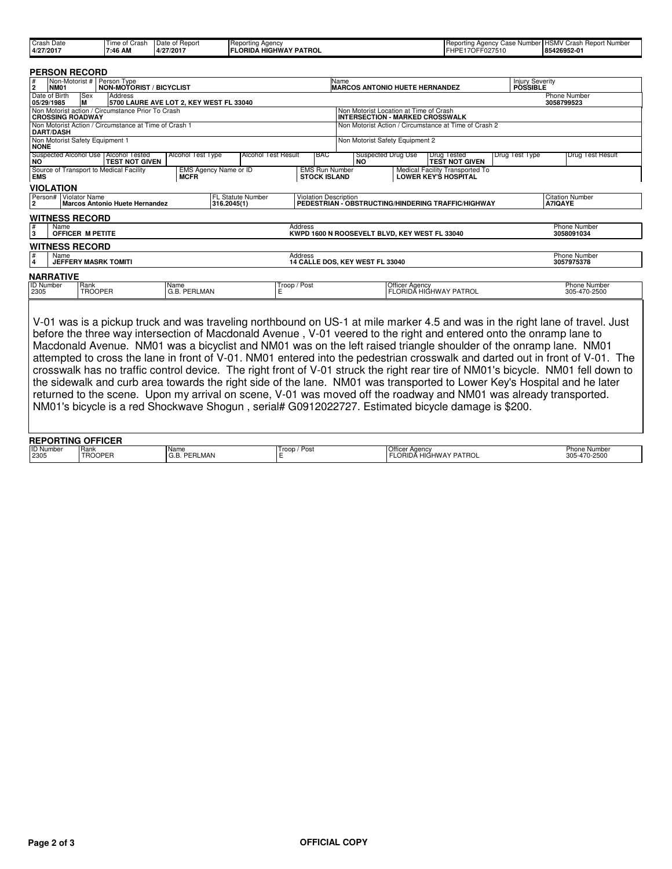| Crash Date | Time o<br>Crash | Date of Report | <b>IReporting Agency</b>      | <b>Reporting Agency</b><br>$\sim$<br>Number<br><b>Case</b> | JOMAY.<br>* Number<br>Repor<br>urasn<br>13. JIVI |
|------------|-----------------|----------------|-------------------------------|------------------------------------------------------------|--------------------------------------------------|
| 4/27/2017  | 7:46 AM         | 4/27/2017      | . HIGHWAY PATROL<br>LORIDA H' | '7OFF027510<br>IFHPE <sup>-</sup>                          | 85426952-01                                      |
|            |                 |                |                               |                                                            |                                                  |

|                                                                                                       |                                                                                                                                  |  | <b>PERSON RECORD</b>    |                                                                 |                                      |                          |              |                                                                                            |                                                                                  |                       |                                                                |                |                |                                     |  |
|-------------------------------------------------------------------------------------------------------|----------------------------------------------------------------------------------------------------------------------------------|--|-------------------------|-----------------------------------------------------------------|--------------------------------------|--------------------------|--------------|--------------------------------------------------------------------------------------------|----------------------------------------------------------------------------------|-----------------------|----------------------------------------------------------------|----------------|----------------|-------------------------------------|--|
| #<br>Non-Motorist #   Person Type<br>NON-MOTORIST / BICYCLIST<br>$\overline{2}$<br><b>NM01</b>        |                                                                                                                                  |  |                         |                                                                 |                                      |                          |              | Injury Severity<br><b>POSSIBLE</b><br><b>Name</b><br><b>MARCOS ANTONIO HUETE HERNANDEZ</b> |                                                                                  |                       |                                                                |                |                |                                     |  |
| Date of Birth<br><b>Sex</b><br>Address<br>lм<br>5700 LAURE AVE LOT 2, KEY WEST FL 33040<br>05/29/1985 |                                                                                                                                  |  |                         |                                                                 |                                      |                          |              |                                                                                            |                                                                                  |                       |                                                                |                |                | <b>Phone Number</b><br>3058799523   |  |
| Non Motorist action / Circumstance Prior To Crash<br><b>CROSSING ROADWAY</b>                          |                                                                                                                                  |  |                         |                                                                 |                                      |                          |              |                                                                                            | Non Motorist Location at Time of Crash<br><b>INTERSECTION - MARKED CROSSWALK</b> |                       |                                                                |                |                |                                     |  |
|                                                                                                       | <b>DART/DASH</b>                                                                                                                 |  |                         | Non Motorist Action / Circumstance at Time of Crash 1           |                                      |                          |              |                                                                                            | Non Motorist Action / Circumstance at Time of Crash 2                            |                       |                                                                |                |                |                                     |  |
| <b>NONE</b>                                                                                           |                                                                                                                                  |  |                         | Non Motorist Safety Equipment 1                                 |                                      |                          |              |                                                                                            | Non Motorist Safety Equipment 2                                                  |                       |                                                                |                |                |                                     |  |
| NO                                                                                                    |                                                                                                                                  |  |                         | Suspected Alcohol Use   Alcohol Tested<br><b>TEST NOT GIVEN</b> | <b>Alcohol Test Type</b>             | Alcohol Test Result      |              | IBAC                                                                                       | <b>Suspected Drug Use</b><br><b>NO</b>                                           |                       | Drug Tested<br><b>TEST NOT GIVEN</b>                           | Drug Test Type |                | <b>Drug Test Result</b>             |  |
| <b>EMS</b>                                                                                            |                                                                                                                                  |  |                         | Source of Transport to Medical Facility                         | EMS Agency Name or ID<br><b>MCFR</b> |                          |              | <b>EMS Run Number</b><br><b>STOCK ISLAND</b>                                               |                                                                                  |                       | Medical Facility Transported To<br><b>LOWER KEY'S HOSPITAL</b> |                |                |                                     |  |
|                                                                                                       | <b>VIOLATION</b>                                                                                                                 |  |                         |                                                                 |                                      |                          |              |                                                                                            |                                                                                  |                       |                                                                |                |                |                                     |  |
| $\overline{2}$                                                                                        |                                                                                                                                  |  | Person#   Violator Name | Marcos Antonio Huete Hernandez                                  | 316.2045(1)                          | <b>FL Statute Number</b> |              | <b>Violation Description</b>                                                               |                                                                                  |                       | PEDESTRIAN - OBSTRUCTING/HINDERING TRAFFIC/HIGHWAY             |                | <b>A7IQAYE</b> | <b>Citation Number</b>              |  |
|                                                                                                       |                                                                                                                                  |  | <b>WITNESS RECORD</b>   |                                                                 |                                      |                          |              |                                                                                            |                                                                                  |                       |                                                                |                |                |                                     |  |
| $\sqrt{\frac{4}{3}}$                                                                                  | <b>Phone Number</b><br>Name<br>Address<br><b>OFFICER M PETITE</b><br>KWPD 1600 N ROOSEVELT BLVD. KEY WEST FL 33040<br>3058091034 |  |                         |                                                                 |                                      |                          |              |                                                                                            |                                                                                  |                       |                                                                |                |                |                                     |  |
|                                                                                                       |                                                                                                                                  |  | <b>WITNESS RECORD</b>   |                                                                 |                                      |                          |              |                                                                                            |                                                                                  |                       |                                                                |                |                |                                     |  |
| <b>T#</b><br>Address<br>Name<br>4<br><b>JEFFERY MASRK TOMITI</b>                                      |                                                                                                                                  |  |                         |                                                                 |                                      |                          |              | <b>Phone Number</b><br>14 CALLE DOS. KEY WEST FL 33040<br>3057975378                       |                                                                                  |                       |                                                                |                |                |                                     |  |
|                                                                                                       | <b>NARRATIVE</b>                                                                                                                 |  |                         |                                                                 |                                      |                          |              |                                                                                            |                                                                                  |                       |                                                                |                |                |                                     |  |
| <b>ID Number</b><br>2305                                                                              |                                                                                                                                  |  | Rank<br><b>TROOPER</b>  |                                                                 | Name<br>G.B. PERLMAN                 | E                        | Troop / Post |                                                                                            |                                                                                  | <b>Officer Agency</b> | FLORIDĂ HIGHWAY PATROL                                         |                |                | <b>Phone Number</b><br>305-470-2500 |  |
|                                                                                                       | .                                                                                                                                |  |                         |                                                                 |                                      |                          |              |                                                                                            |                                                                                  |                       |                                                                |                |                |                                     |  |

V-01 was is a pickup truck and was traveling northbound on US-1 at mile marker 4.5 and was in the right lane of travel. Just before the three way intersection of Macdonald Avenue , V-01 veered to the right and entered onto the onramp lane to Macdonald Avenue. NM01 was a bicyclist and NM01 was on the left raised triangle shoulder of the onramp lane. NM01 attempted to cross the lane in front of V-01. NM01 entered into the pedestrian crosswalk and darted out in front of V-01. The crosswalk has no traffic control device. The right front of V-01 struck the right rear tire of NM01's bicycle. NM01 fell down to the sidewalk and curb area towards the right side of the lane. NM01 was transported to Lower Key's Hospital and he later returned to the scene. Upon my arrival on scene, V-01 was moved off the roadway and NM01 was already transported. NM01's bicycle is a red Shockwave Shogun , serial# G0912022727. Estimated bicycle damage is \$200.

#### **REPORTING OFFICER**